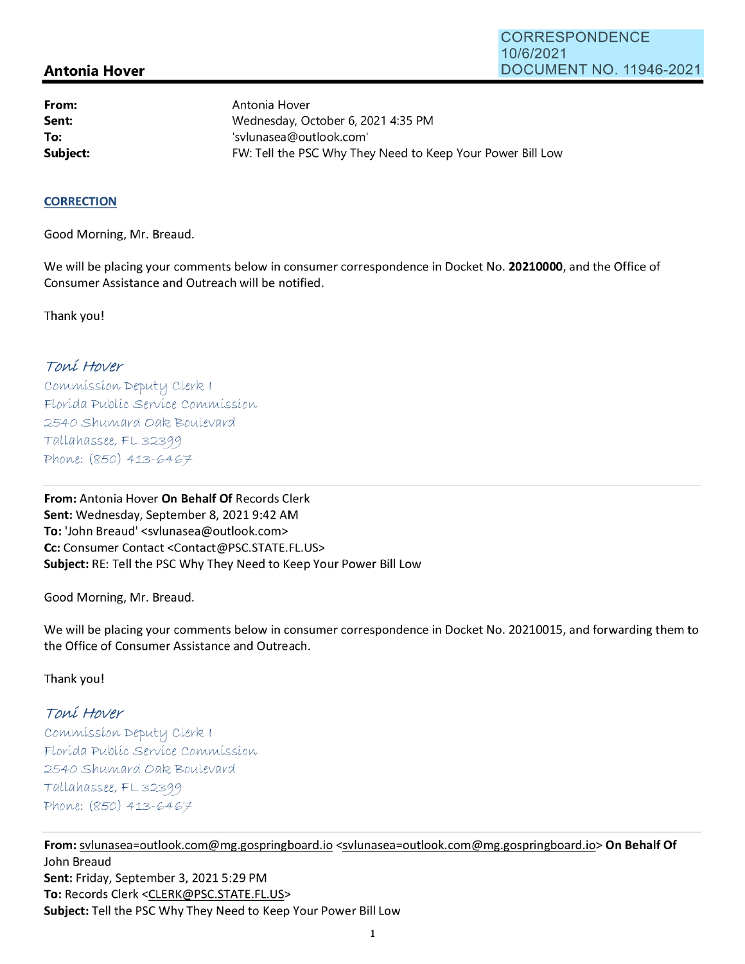## **Antonia Hover**

**From: Sent: To:** 

Antonia Hover Wednesday, October 6, 2021 4:35 PM 'svlunasea@outlook.com' **Subject: FW: Tell the PSC Why They Need to Keep Your Power Bill Low** 

## **CORRECTION**

Good Morning, Mr. Breaud.

We will be placing your comments below in consumer correspondence in Docket No. **20210000,** and the Office of Consumer Assistance and Outreach will be notified.

Thank you!

## Toní Hover

Commission Deputy Clerk 1 Florída Publíc Service Commission 2540 Shumard Oak Boulevard  $Tallahasse, FL 32399$ Phone: (850) 413-6467

**From:** Antonia Hover **On Behalf Of** Records Clerk **Sent:** Wednesday, September 8, 2021 9:42 AM **To:** 'John Breaud' <svlunasea@outlook.com> **Cc:** Consumer Contact <Contact@PSC.STATE.FL.US> **Subject:** RE: Tell the PSC Why They Need to Keep Your Power Bill Low

Good Morning, Mr. Breaud.

We will be placing your comments below in consumer correspondence in Docket No. 20210015, and forwarding them to the Office of Consumer Assistance and Outreach.

Thank you!

## Toní Hover

 $Commission$  Deputy Clerk I Florída Publíc Servíce Commission 2540 Shumard Oak Boulevard  $Tallahasse, FL 32399$ Phone: (850) 413-6467

**From:** svlunasea=outlook.com@mg.gospringboard.io <svlunasea=outlook.com@mg.gospringboard.io> **On Behalf Of**  John Breaud **Sent:** Friday, September 3, 2021 5:29 PM **To:** Records Clerk <CLERK@PSC.STATE.FL.US> **Subject:** Tell the PSC Why They Need to Keep Your Power Bill Low